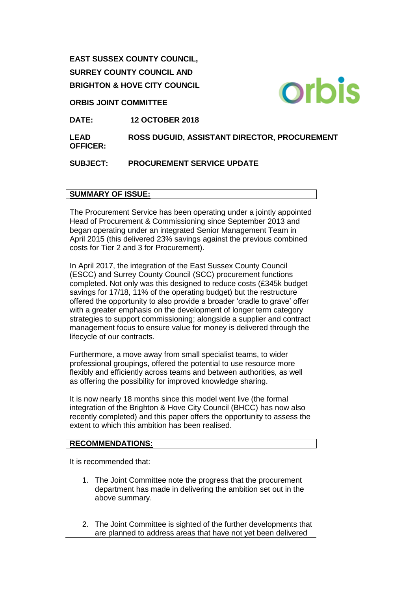**EAST SUSSEX COUNTY COUNCIL, SURREY COUNTY COUNCIL AND BRIGHTON & HOVE CITY COUNCIL**

## **ORBIS JOINT COMMITTEE**

**DATE: 12 OCTOBER 2018**

**LEAD OFFICER: ROSS DUGUID, ASSISTANT DIRECTOR, PROCUREMENT**

**SUBJECT: PROCUREMENT SERVICE UPDATE**

## **SUMMARY OF ISSUE:**

The Procurement Service has been operating under a jointly appointed Head of Procurement & Commissioning since September 2013 and began operating under an integrated Senior Management Team in April 2015 (this delivered 23% savings against the previous combined costs for Tier 2 and 3 for Procurement).

In April 2017, the integration of the East Sussex County Council (ESCC) and Surrey County Council (SCC) procurement functions completed. Not only was this designed to reduce costs (£345k budget savings for 17/18, 11% of the operating budget) but the restructure offered the opportunity to also provide a broader 'cradle to grave' offer with a greater emphasis on the development of longer term category strategies to support commissioning; alongside a supplier and contract management focus to ensure value for money is delivered through the lifecycle of our contracts.

Furthermore, a move away from small specialist teams, to wider professional groupings, offered the potential to use resource more flexibly and efficiently across teams and between authorities, as well as offering the possibility for improved knowledge sharing.

It is now nearly 18 months since this model went live (the formal integration of the Brighton & Hove City Council (BHCC) has now also recently completed) and this paper offers the opportunity to assess the extent to which this ambition has been realised.

### **RECOMMENDATIONS:**

It is recommended that:

- 1. The Joint Committee note the progress that the procurement department has made in delivering the ambition set out in the above summary.
- 2. The Joint Committee is sighted of the further developments that are planned to address areas that have not yet been delivered

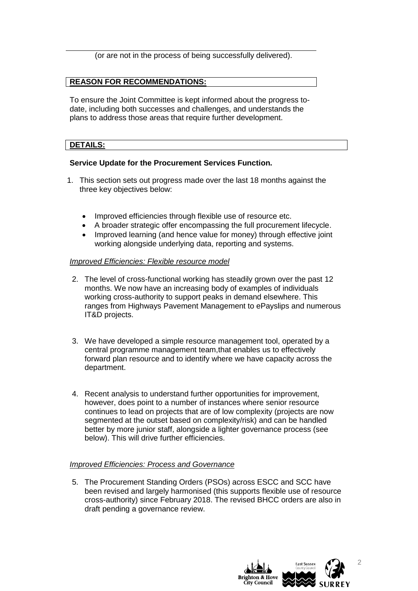(or are not in the process of being successfully delivered).

# **REASON FOR RECOMMENDATIONS:**

To ensure the Joint Committee is kept informed about the progress todate, including both successes and challenges, and understands the plans to address those areas that require further development.

## **DETAILS:**

## **Service Update for the Procurement Services Function.**

- 1. This section sets out progress made over the last 18 months against the three key objectives below:
	- Improved efficiencies through flexible use of resource etc.
	- A broader strategic offer encompassing the full procurement lifecycle.
	- Improved learning (and hence value for money) through effective joint working alongside underlying data, reporting and systems.

### *Improved Efficiencies: Flexible resource model*

- 2. The level of cross-functional working has steadily grown over the past 12 months. We now have an increasing body of examples of individuals working cross-authority to support peaks in demand elsewhere. This ranges from Highways Pavement Management to ePayslips and numerous IT&D projects.
- 3. We have developed a simple resource management tool, operated by a central programme management team,that enables us to effectively forward plan resource and to identify where we have capacity across the department.
- 4. Recent analysis to understand further opportunities for improvement, however, does point to a number of instances where senior resource continues to lead on projects that are of low complexity (projects are now segmented at the outset based on complexity/risk) and can be handled better by more junior staff, alongside a lighter governance process (see below). This will drive further efficiencies.

### *Improved Efficiencies: Process and Governance*

5. The Procurement Standing Orders (PSOs) across ESCC and SCC have been revised and largely harmonised (this supports flexible use of resource cross-authority) since February 2018. The revised BHCC orders are also in draft pending a governance review.



2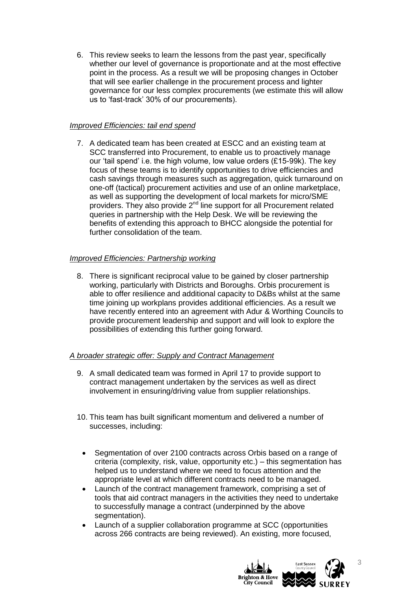6. This review seeks to learn the lessons from the past year, specifically whether our level of governance is proportionate and at the most effective point in the process. As a result we will be proposing changes in October that will see earlier challenge in the procurement process and lighter governance for our less complex procurements (we estimate this will allow us to 'fast-track' 30% of our procurements).

# *Improved Efficiencies: tail end spend*

7. A dedicated team has been created at ESCC and an existing team at SCC transferred into Procurement, to enable us to proactively manage our 'tail spend' i.e. the high volume, low value orders (£15-99k). The key focus of these teams is to identify opportunities to drive efficiencies and cash savings through measures such as aggregation, quick turnaround on one-off (tactical) procurement activities and use of an online marketplace, as well as supporting the development of local markets for micro/SME providers. They also provide 2<sup>nd</sup> line support for all Procurement related queries in partnership with the Help Desk. We will be reviewing the benefits of extending this approach to BHCC alongside the potential for further consolidation of the team.

# *Improved Efficiencies: Partnership working*

8. There is significant reciprocal value to be gained by closer partnership working, particularly with Districts and Boroughs. Orbis procurement is able to offer resilience and additional capacity to D&Bs whilst at the same time joining up workplans provides additional efficiencies. As a result we have recently entered into an agreement with Adur & Worthing Councils to provide procurement leadership and support and will look to explore the possibilities of extending this further going forward.

# *A broader strategic offer: Supply and Contract Management*

- 9. A small dedicated team was formed in April 17 to provide support to contract management undertaken by the services as well as direct involvement in ensuring/driving value from supplier relationships.
- 10. This team has built significant momentum and delivered a number of successes, including:
	- Segmentation of over 2100 contracts across Orbis based on a range of criteria (complexity, risk, value, opportunity etc.) – this segmentation has helped us to understand where we need to focus attention and the appropriate level at which different contracts need to be managed.
	- Launch of the contract management framework, comprising a set of tools that aid contract managers in the activities they need to undertake to successfully manage a contract (underpinned by the above segmentation).
	- Launch of a supplier collaboration programme at SCC (opportunities across 266 contracts are being reviewed). An existing, more focused,

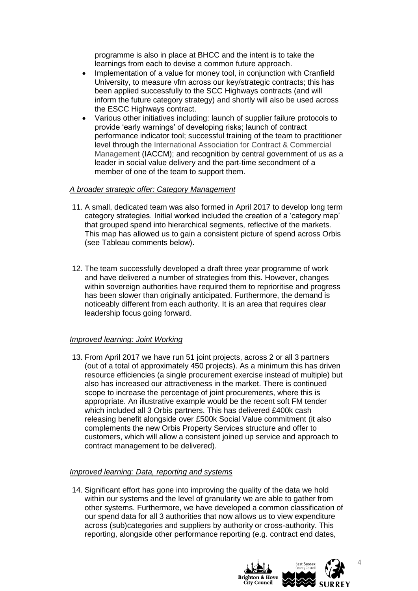programme is also in place at BHCC and the intent is to take the learnings from each to devise a common future approach.

- Implementation of a value for money tool, in conjunction with Cranfield University, to measure vfm across our key/strategic contracts; this has been applied successfully to the SCC Highways contracts (and will inform the future category strategy) and shortly will also be used across the ESCC Highways contract.
- Various other initiatives including: launch of supplier failure protocols to provide 'early warnings' of developing risks; launch of contract performance indicator tool; successful training of the team to practitioner level through the International Association for Contract & Commercial Management (IACCM); and recognition by central government of us as a leader in social value delivery and the part-time secondment of a member of one of the team to support them.

# *A broader strategic offer: Category Management*

- 11. A small, dedicated team was also formed in April 2017 to develop long term category strategies. Initial worked included the creation of a 'category map' that grouped spend into hierarchical segments, reflective of the markets. This map has allowed us to gain a consistent picture of spend across Orbis (see Tableau comments below).
- 12. The team successfully developed a draft three year programme of work and have delivered a number of strategies from this. However, changes within sovereign authorities have required them to reprioritise and progress has been slower than originally anticipated. Furthermore, the demand is noticeably different from each authority. It is an area that requires clear leadership focus going forward.

# *Improved learning: Joint Working*

13. From April 2017 we have run 51 joint projects, across 2 or all 3 partners (out of a total of approximately 450 projects). As a minimum this has driven resource efficiencies (a single procurement exercise instead of multiple) but also has increased our attractiveness in the market. There is continued scope to increase the percentage of joint procurements, where this is appropriate. An illustrative example would be the recent soft FM tender which included all 3 Orbis partners. This has delivered £400k cash releasing benefit alongside over £500k Social Value commitment (it also complements the new Orbis Property Services structure and offer to customers, which will allow a consistent joined up service and approach to contract management to be delivered).

### *Improved learning: Data, reporting and systems*

14. Significant effort has gone into improving the quality of the data we hold within our systems and the level of granularity we are able to gather from other systems. Furthermore, we have developed a common classification of our spend data for all 3 authorities that now allows us to view expenditure across (sub)categories and suppliers by authority or cross-authority. This reporting, alongside other performance reporting (e.g. contract end dates,

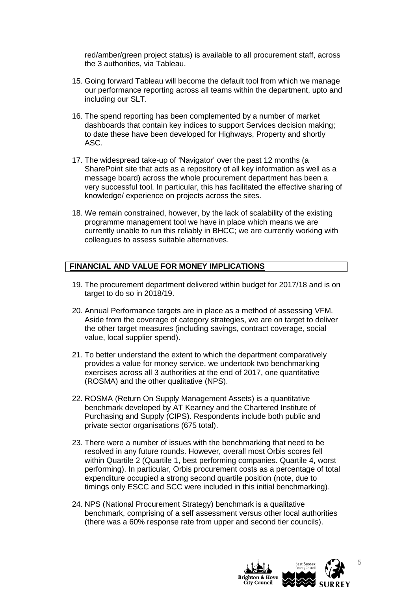red/amber/green project status) is available to all procurement staff, across the 3 authorities, via Tableau.

- 15. Going forward Tableau will become the default tool from which we manage our performance reporting across all teams within the department, upto and including our SLT.
- 16. The spend reporting has been complemented by a number of market dashboards that contain key indices to support Services decision making; to date these have been developed for Highways, Property and shortly ASC.
- 17. The widespread take-up of 'Navigator' over the past 12 months (a SharePoint site that acts as a repository of all key information as well as a message board) across the whole procurement department has been a very successful tool. In particular, this has facilitated the effective sharing of knowledge/ experience on projects across the sites.
- 18. We remain constrained, however, by the lack of scalability of the existing programme management tool we have in place which means we are currently unable to run this reliably in BHCC; we are currently working with colleagues to assess suitable alternatives.

# **FINANCIAL AND VALUE FOR MONEY IMPLICATIONS**

- 19. The procurement department delivered within budget for 2017/18 and is on target to do so in 2018/19.
- 20. Annual Performance targets are in place as a method of assessing VFM. Aside from the coverage of category strategies, we are on target to deliver the other target measures (including savings, contract coverage, social value, local supplier spend).
- 21. To better understand the extent to which the department comparatively provides a value for money service, we undertook two benchmarking exercises across all 3 authorities at the end of 2017, one quantitative (ROSMA) and the other qualitative (NPS).
- 22. ROSMA (Return On Supply Management Assets) is a quantitative benchmark developed by AT Kearney and the Chartered Institute of Purchasing and Supply (CIPS). Respondents include both public and private sector organisations (675 total).
- 23. There were a number of issues with the benchmarking that need to be resolved in any future rounds. However, overall most Orbis scores fell within Quartile 2 (Quartile 1, best performing companies. Quartile 4, worst performing). In particular, Orbis procurement costs as a percentage of total expenditure occupied a strong second quartile position (note, due to timings only ESCC and SCC were included in this initial benchmarking).
- 24. NPS (National Procurement Strategy) benchmark is a qualitative benchmark, comprising of a self assessment versus other local authorities (there was a 60% response rate from upper and second tier councils).